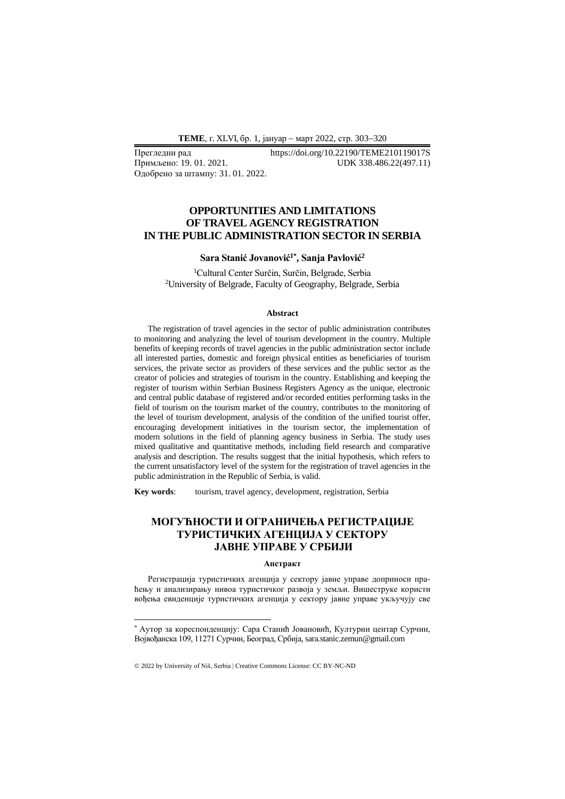**ТEME**, г. XLVI, бр. 1, јануар − март 2022, стр. 303−320

Одобрено за штампу: 31. 01. 2022.

Прегледни рад https://doi.org/10.22190/TEME210119017S<br>Примљено: 19. 01. 2021. UDK 338.486.22(497.11) Примљено: 19. 01. 2021. UDK 338.486.22(497.11)

## **OPPORTUNITIES AND LIMITATIONS OF TRAVEL AGENCY REGISTRATION IN THE PUBLIC ADMINISTRATION SECTOR IN SERBIA**

### **Sara Stanić Jovanović1\* , Sanja Pavlović<sup>2</sup>**

<sup>1</sup>Cultural Center Surčin, Surčin, Belgrade, Serbia <sup>2</sup>University of Belgrade, Faculty of Geography, Belgrade, Serbia

#### **Abstract**

The registration of travel agencies in the sector of public administration contributes to monitoring and analyzing the level of tourism development in the country. Multiple benefits of keeping records of travel agencies in the public administration sector include all interested parties, domestic and foreign physical entities as beneficiaries of tourism services, the private sector as providers of these services and the public sector as the creator of policies and strategies of tourism in the country. Establishing and keeping the register of tourism within Serbian Business Registers Agency as the unique, electronic and central public database of registered and/or recorded entities performing tasks in the field of tourism on the tourism market of the country, contributes to the monitoring of the level of tourism development, analysis of the condition of the unified tourist offer, encouraging development initiatives in the tourism sector, the implementation of modern solutions in the field of planning agency business in Serbia. The study uses mixed qualitative and quantitative methods, including field research and comparative analysis and description. The results suggest that the initial hypothesis, which refers to the current unsatisfactory level of the system for the registration of travel agencies in the public administration in the Republic of Serbia, is valid.

**Key words**: tourism, travel agency, development, registration, Serbia

# **МОГУЋНОСТИ И ОГРАНИЧЕЊА РЕГИСТРАЦИЈЕ ТУРИСТИЧКИХ АГЕНЦИЈА У СЕКТОРУ ЈАВНЕ УПРАВЕ У СРБИЈИ**

#### **Апстракт**

Регистрација туристичких агенција у сектору јавне управе доприноси праћењу и анализирању нивоа туристичког развоја у земљи. Вишеструке користи вођења евиденције туристичких агенција у сектору јавне управе укључују све

<sup>\*</sup> Аутор за кореспонденцију: Сара Станић Јовановић, Културни центар Сурчин, Војвођанска 109, 11271 Сурчин, Београд, Србија, sara.stanic.zemun@gmail.com

<sup>© 2022</sup> by University of Niš, Serbia | Creative Commons License: CC BY-NC-ND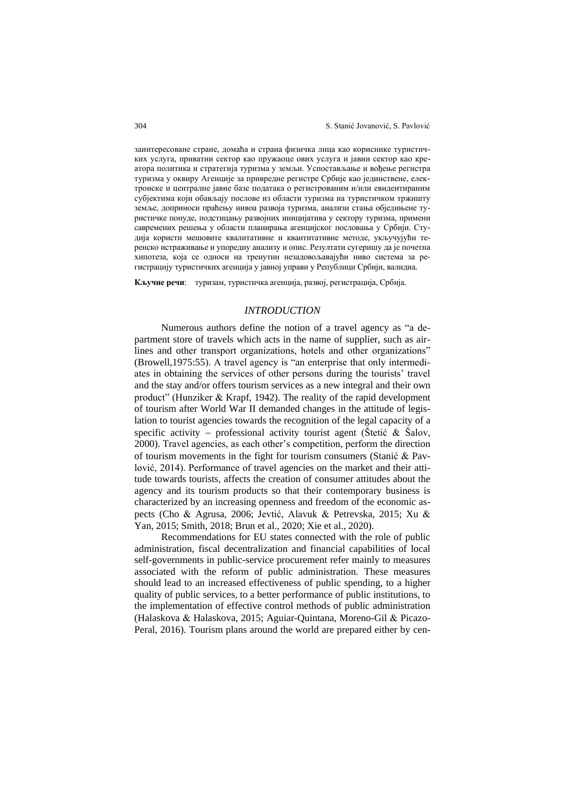заинтересоване стране, домаћа и страна физичка лица као кориснике туристичких услуга, приватни сектор као пружаоце ових услуга и јавни сектор као креатора политика и стратегија туризма у земљи. Успостављање и вођење регистра туризма у оквиру Агенције за привредне регистре Србије као јединствене, електронске и централне јавне базе података о регистрованим и/или евидентираним субјектима који обављају послове из области туризма на туристичком тржишту земље, доприноси праћењу нивоа развоја туризма, анализи стања обједињене туристичке понуде, подстицању развојних иницијатива у сектору туризма, примени савремених решења у области планирања агенцијског пословања у Србији. Студија користи мешовите квалитативне и квантитативне методе, укључујући теренско истраживање и упоредну анализу и опис. Резултати сугеришу да је почетна хипотеза, која се односи на тренутни незадовољавајући ниво система за регистрацију туристичких агенција у јавној управи у Републици Србији, валидна.

**Кључне речи**: туризам, туристичка агенција, развој, регистрација, Србија.

## *INTRODUCTION*

Numerous authors define the notion of a travel agency as "a department store of travels which acts in the name of supplier, such as airlines and other transport organizations, hotels and other organizations" (Browell,1975:55). A travel agency is "an enterprise that only intermediates in obtaining the services of other persons during the tourists' travel and the stay and/or offers tourism services as a new integral and their own product" (Hunziker & Krapf, 1942). The reality of the rapid development of tourism after World War II demanded changes in the attitude of legislation to tourist agencies towards the recognition of the legal capacity of a specific activity – professional activity tourist agent (Štetić  $\&$  Šalov, 2000). Travel agencies, as each other's competition, perform the direction of tourism movements in the fight for tourism consumers (Stanić  $\&$  Pavlović, 2014). Performance of travel agencies on the market and their attitude towards tourists, affects the creation of consumer attitudes about the agency and its tourism products so that their contemporary business is characterized by an increasing openness and freedom of the economic aspects (Cho & Agrusa, 2006; Jevtić, Alavuk & Petrevska, 2015; Xu & Yan, 2015; Smith, 2018; Brun et al., 2020; Xie et al., 2020).

Recommendations for EU states connected with the role of public administration, fiscal decentralization and financial capabilities of local self-governments in public-service procurement refer mainly to measures associated with the reform of public administration. These measures should lead to an increased effectiveness of public spending, to a higher quality of public services, to a better performance of public institutions, to the implementation of effective control methods of public administration (Halaskova & Halaskova, 2015; Aguiar-Quintana, Moreno-Gil & Picazo-Peral, 2016). Tourism plans around the world are prepared either by cen-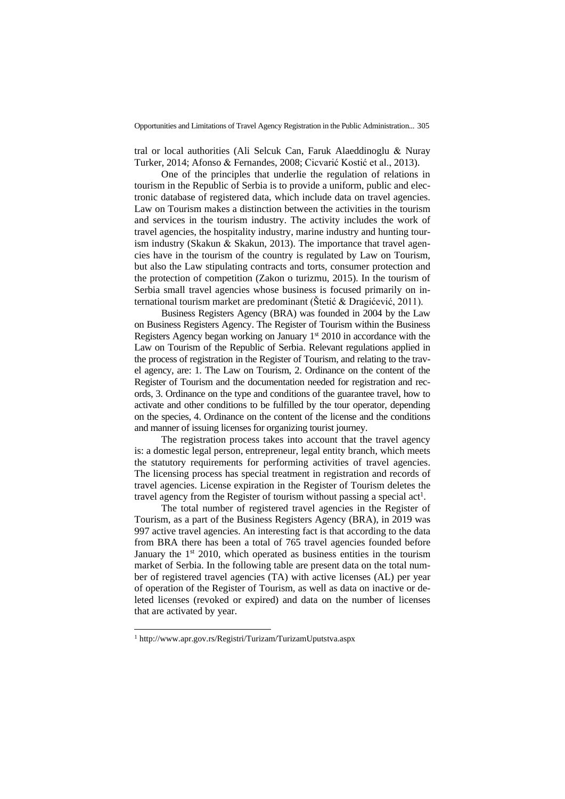tral or local authorities (Ali Selcuk Can, Faruk Alaeddinoglu & Nuray Turker, 2014; Afonso & Fernandes, 2008; Cicvarić Kostić et al., 2013).

One of the principles that underlie the regulation of relations in tourism in the Republic of Serbia is to provide a uniform, public and electronic database of registered data, which include data on travel agencies. Law on Tourism makes a distinction between the activities in the tourism and services in the tourism industry. The activity includes the work of travel agencies, the hospitality industry, marine industry and hunting tourism industry (Skakun & Skakun, 2013). The importance that travel agencies have in the tourism of the country is regulated by Law on Tourism, but also the Law stipulating contracts and torts, consumer protection and the protection of competition (Zakon o turizmu, 2015). In the tourism of Serbia small travel agencies whose business is focused primarily on international tourism market are predominant (Štetić & Dragićević, 2011).

Business Registers Agency (BRA) was founded in 2004 by the Law on Business Registers Agency. The Register of Tourism within the Business Registers Agency began working on January  $1<sup>st</sup>$  2010 in accordance with the Law on Tourism of the Republic of Serbia. Relevant regulations applied in the process of registration in the Register of Tourism, and relating to the travel agency, are: 1. The Law on Tourism, 2. Ordinance on the content of the Register of Tourism and the documentation needed for registration and records, 3. Ordinance on the type and conditions of the guarantee travel, how to activate and other conditions to be fulfilled by the tour operator, depending on the species, 4. Ordinance on the content of the license and the conditions and manner of issuing licenses for organizing tourist journey.

The registration process takes into account that the travel agency is: a domestic legal person, entrepreneur, legal entity branch, which meets the statutory requirements for performing activities of travel agencies. The licensing process has special treatment in registration and records of travel agencies. License expiration in the Register of Tourism deletes the travel agency from the Register of tourism without passing a special  $act<sup>1</sup>$ .

The total number of registered travel agencies in the Register of Tourism, as a part of the Business Registers Agency (BRA), in 2019 was 997 active travel agencies. An interesting fact is that according to the data from BRA there has been a total of 765 travel agencies founded before January the  $1<sup>st</sup>$  2010, which operated as business entities in the tourism market of Serbia. In the following table are present data on the total number of registered travel agencies (TA) with active licenses (AL) per year of operation of the Register of Tourism, as well as data on inactive or deleted licenses (revoked or expired) and data on the number of licenses that are activated by year.

<sup>1</sup> http://www.apr.gov.rs/Registri/Turizam/TurizamUputstva.aspx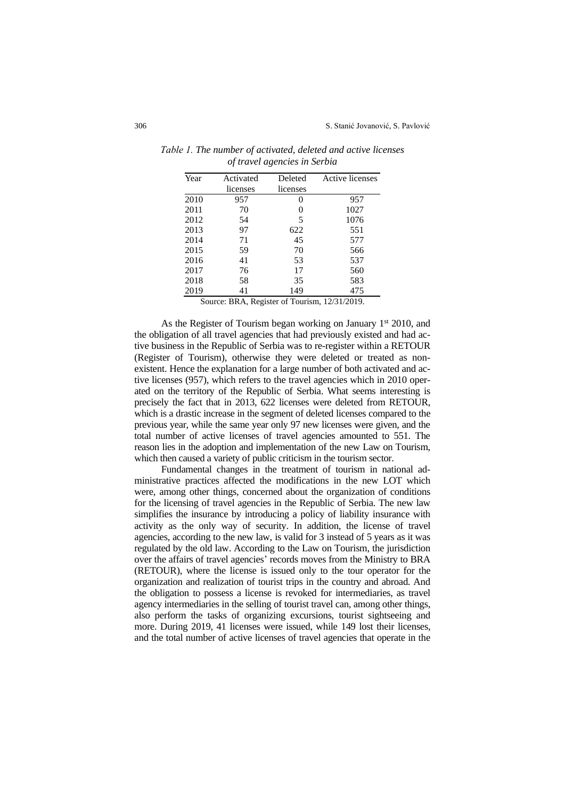| Year | Activated | Deleted  | Active licenses |
|------|-----------|----------|-----------------|
|      | licenses  | licenses |                 |
| 2010 | 957       | $_{0}$   | 957             |
| 2011 | 70        | 0        | 1027            |
| 2012 | 54        | 5        | 1076            |
| 2013 | 97        | 622      | 551             |
| 2014 | 71        | 45       | 577             |
| 2015 | 59        | 70       | 566             |
| 2016 | 41        | 53       | 537             |
| 2017 | 76        | 17       | 560             |
| 2018 | 58        | 35       | 583             |
| 2019 | 41        | 149      | 475             |

*Тable 1. The number of activated, deleted and active licenses of travel agencies in Serbia* 

Source: BRA, Register of Tourism, 12/31/2019.

As the Register of Tourism began working on January 1<sup>st</sup> 2010, and the obligation of all travel agencies that had previously existed and had active business in the Republic of Serbia was to re-register within a RETOUR (Register of Tourism), otherwise they were deleted or treated as nonexistent. Hence the explanation for a large number of both activated and active licenses (957), which refers to the travel agencies which in 2010 operated on the territory of the Republic of Serbia. What seems interesting is precisely the fact that in 2013, 622 licenses were deleted from RETOUR, which is a drastic increase in the segment of deleted licenses compared to the previous year, while the same year only 97 new licenses were given, and the total number of active licenses of travel agencies amounted to 551. The reason lies in the adoption and implementation of the new Law on Tourism, which then caused a variety of public criticism in the tourism sector.

Fundamental changes in the treatment of tourism in national administrative practices affected the modifications in the new LOT which were, among other things, concerned about the organization of conditions for the licensing of travel agencies in the Republic of Serbia. The new law simplifies the insurance by introducing a policy of liability insurance with activity as the only way of security. In addition, the license of travel agencies, according to the new law, is valid for 3 instead of 5 years as it was regulated by the old law. According to the Law on Tourism, the jurisdiction over the affairs of travel agencies' records moves from the Ministry to BRA (RETOUR), where the license is issued only to the tour operator for the organization and realization of tourist trips in the country and abroad. And the obligation to possess a license is revoked for intermediaries, as travel agency intermediaries in the selling of tourist travel can, among other things, also perform the tasks of organizing excursions, tourist sightseeing and more. During 2019, 41 licenses were issued, while 149 lost their licenses, and the total number of active licenses of travel agencies that operate in the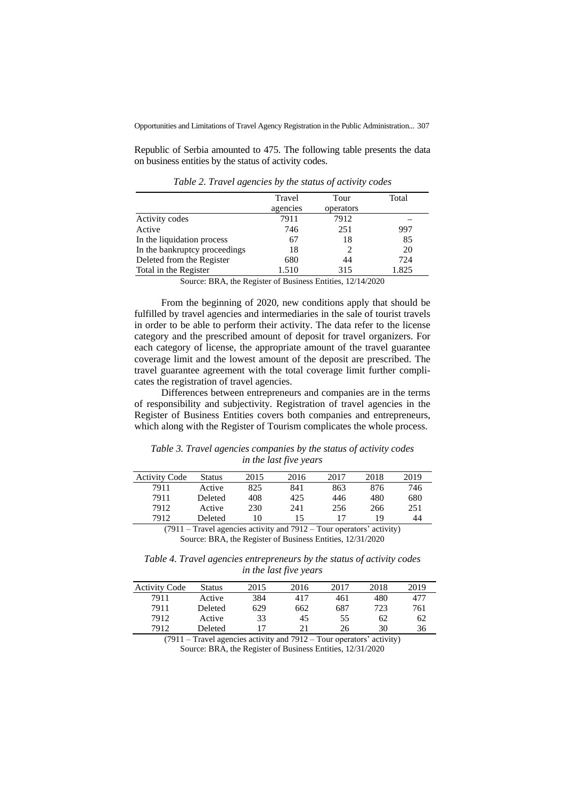Republic of Serbia amounted to 475. The following table presents the data on business entities by the status of activity codes.

|                               | Travel   | Tour      | Total |
|-------------------------------|----------|-----------|-------|
|                               | agencies | operators |       |
| Activity codes                | 7911     | 7912      |       |
| Active                        | 746      | 251       | 997   |
| In the liquidation process    | 67       | 18        | 85    |
| In the bankruptcy proceedings | 18       |           | 20    |
| Deleted from the Register     | 680      | 44        | 724   |
| Total in the Register         | 1.510    | 315       | 1.825 |

*Table 2. Travel agencies by the status of activity codes*

Source: BRA, the Register of Business Entities, 12/14/2020

From the beginning of 2020, new conditions apply that should be fulfilled by travel agencies and intermediaries in the sale of tourist travels in order to be able to perform their activity. The data refer to the license category and the prescribed amount of deposit for travel organizers. For each category of license, the appropriate amount of the travel guarantee coverage limit and the lowest amount of the deposit are prescribed. The travel guarantee agreement with the total coverage limit further complicates the registration of travel agencies.

Differences between entrepreneurs and companies are in the terms of responsibility and subjectivity. Registration of travel agencies in the Register of Business Entities covers both companies and entrepreneurs, which along with the Register of Tourism complicates the whole process.

*Table 3. Travel agencies companies by the status of activity codes in the last five years*

| <b>Activity Code</b> | Status  | 2015     | 2016   | 2017   | 2018 | 2019 |
|----------------------|---------|----------|--------|--------|------|------|
| 7911                 | Active  | 825      | 841    | 863    | 876  | 746  |
| 7911                 | Deleted | 408      | 425    | 446    | 480  | 680  |
| 7912                 | Active  | 230      | 241    | 256    | 266  | 251  |
| 7912                 | Deleted | 10       | 15     | 17     | 19   | 44   |
| (0.01)               | $\sim$  | $\cdots$ | 1.701A | $\sim$ |      |      |

(7911 – Travel agencies activity and 7912 – Tour operators' activity) Source: BRA, the Register of Business Entities, 12/31/2020

*Table 4. Travel agencies entrepreneurs by the status of activity codes in the last five years*

| <b>Activity Code</b> | Status  | 2015 | 2016 | 2017 | 2018 | 2019 |
|----------------------|---------|------|------|------|------|------|
| 7911                 | Active  | 384  | 417  | 461  | 480  | 477  |
| 7911                 | Deleted | 629  | 662  | 687  | 723  | 761  |
| 7912                 | Active  | 33   | 45   | 55   | 62   | 62   |
| 7912                 | Deleted | 17   | 21   | 26   | 30   | 36   |

(7911 – Travel agencies activity and 7912 – Tour operators' activity) Source: BRA, the Register of Business Entities, 12/31/2020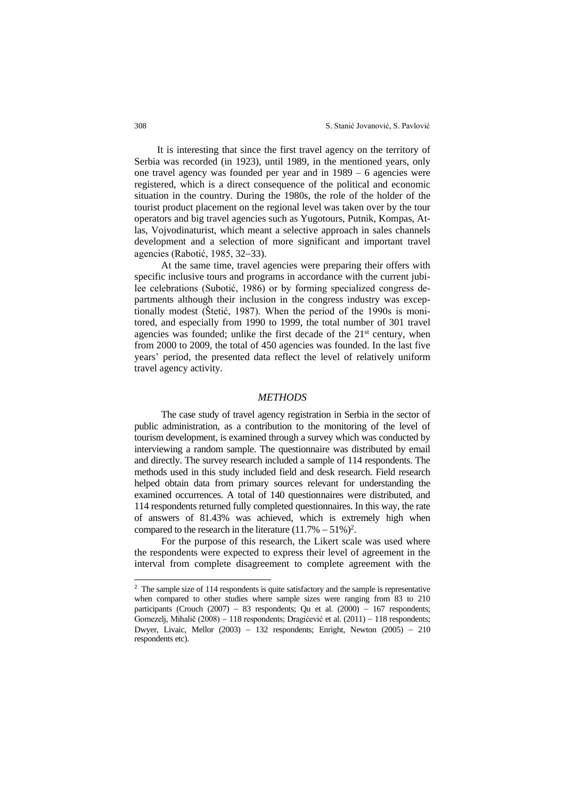It is interesting that since the first travel agency on the territory of Serbia was recorded (in 1923), until 1989, in the mentioned years, only one travel agency was founded per year and in 1989 – 6 agencies were registered, which is a direct consequence of the political and economic situation in the country. During the 1980s, the role of the holder of the tourist product placement on the regional level was taken over by the tour operators and big travel agencies such as Yugotours, Putnik, Kompas, Atlas, Vojvodinaturist, which meant a selective approach in sales channels development and a selection of more significant and important travel agencies (Rabotić, 1985, 32−33).

At the same time, travel agencies were preparing their offers with specific inclusive tours and programs in accordance with the current jubilee celebrations (Subotić, 1986) or by forming specialized congress departments although their inclusion in the congress industry was exceptionally modest (Štetić, 1987). When the period of the 1990s is monitored, and especially from 1990 to 1999, the total number of 301 travel agencies was founded; unlike the first decade of the  $21<sup>st</sup>$  century, when from 2000 to 2009, the total of 450 agencies was founded. In the last five years' period, the presented data reflect the level of relatively uniform travel agency activity.

#### *METHODS*

The case study of travel agency registration in Serbia in the sector of public administration, as a contribution to the monitoring of the level of tourism development, is examined through a survey which was conducted by interviewing a random sample. The questionnaire was distributed by email and directly. The survey research included a sample of 114 respondents. The methods used in this study included field and desk research. Field research helped obtain data from primary sources relevant for understanding the examined occurrences. A total of 140 questionnaires were distributed, and 114 respondents returned fully completed questionnaires. In this way, the rate of answers of 81.43% was achieved, which is extremely high when compared to the research in the literature  $(11.7% - 51%)^2$ .

For the purpose of this research, the Likert scale was used where the respondents were expected to express their level of agreement in the interval from complete disagreement to complete agreement with the

<sup>&</sup>lt;sup>2</sup> The sample size of 114 respondents is quite satisfactory and the sample is representative when compared to other studies where sample sizes were ranging from 83 to 210 participants (Crouch (2007) − 83 respondents; Qu et al. (2000) − 167 respondents; Gomezelj, Mihalič (2008) − 118 respondents; Dragićević et al. (2011) − 118 respondents; Dwyer, Livaic, Mellor (2003) − 132 respondents; Enright, Newton (2005) − 210 respondents etc).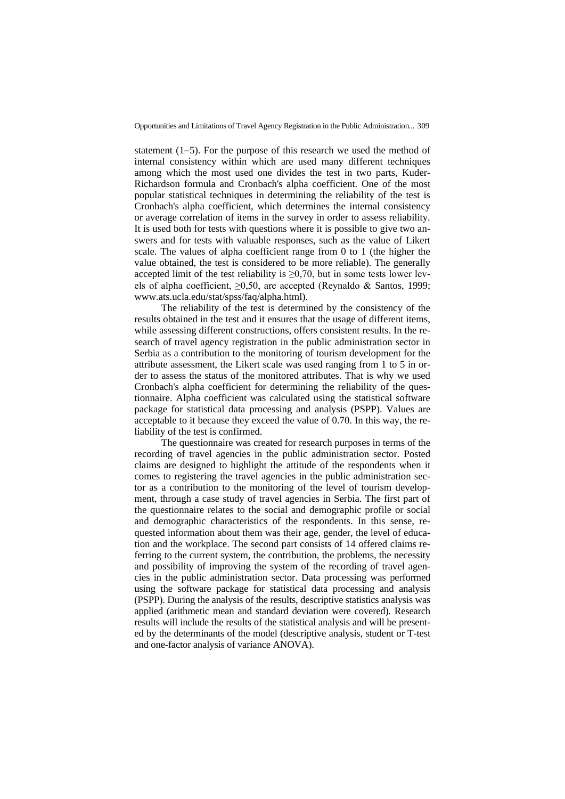statement (1−5). For the purpose of this research we used the method of internal consistency within which are used many different techniques among which the most used one divides the test in two parts, Kuder-Richardson formula and Cronbach's alpha coefficient. One of the most popular statistical techniques in determining the reliability of the test is Cronbach's alpha coefficient, which determines the internal consistency or average correlation of items in the survey in order to assess reliability. It is used both for tests with questions where it is possible to give two answers and for tests with valuable responses, such as the value of Likert scale. The values of alpha coefficient range from 0 to 1 (the higher the value obtained, the test is considered to be more reliable). The generally accepted limit of the test reliability is  $\geq 0.70$ , but in some tests lower levels of alpha coefficient,  $\geq 0.50$ , are accepted (Reynaldo & Santos, 1999; [www.ats.ucla.edu/stat/spss/faq/alpha.html\)](http://www.ats.ucla.edu/stat/spss/faq/alpha.html).

The reliability of the test is determined by the consistency of the results obtained in the test and it ensures that the usage of different items, while assessing different constructions, offers consistent results. In the research of travel agency registration in the public administration sector in Serbia as a contribution to the monitoring of tourism development for the attribute assessment, the Likert scale was used ranging from 1 to 5 in order to assess the status of the monitored attributes. That is why we used Cronbach's alpha coefficient for determining the reliability of the questionnaire. Alpha coefficient was calculated using the statistical software package for statistical data processing and analysis (PSPP). Values are acceptable to it because they exceed the value of 0.70. In this way, the reliability of the test is confirmed.

The questionnaire was created for research purposes in terms of the recording of travel agencies in the public administration sector. Posted claims are designed to highlight the attitude of the respondents when it comes to registering the travel agencies in the public administration sector as a contribution to the monitoring of the level of tourism development, through a case study of travel agencies in Serbia. The first part of the questionnaire relates to the social and demographic profile or social and demographic characteristics of the respondents. In this sense, requested information about them was their age, gender, the level of education and the workplace. The second part consists of 14 offered claims referring to the current system, the contribution, the problems, the necessity and possibility of improving the system of the recording of travel agencies in the public administration sector. Data processing was performed using the software package for statistical data processing and analysis (PSPP). During the analysis of the results, descriptive statistics analysis was applied (arithmetic mean and standard deviation were covered). Research results will include the results of the statistical analysis and will be presented by the determinants of the model (descriptive analysis, student or T-test and one-factor analysis of variance ANOVA).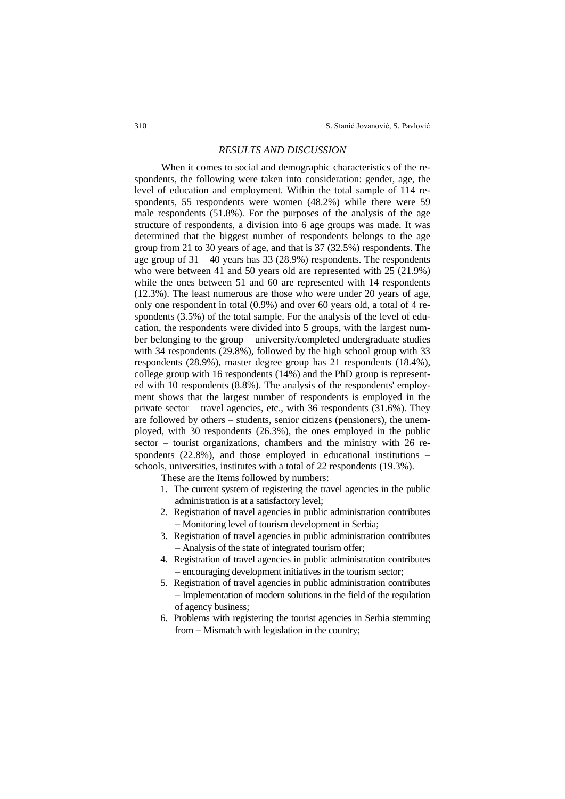### *RESULTS AND DISCUSSION*

When it comes to social and demographic characteristics of the respondents, the following were taken into consideration: gender, age, the level of education and employment. Within the total sample of 114 respondents, 55 respondents were women (48.2%) while there were 59 male respondents (51.8%). For the purposes of the analysis of the age structure of respondents, a division into 6 age groups was made. It was determined that the biggest number of respondents belongs to the age group from 21 to 30 years of age, and that is 37 (32.5%) respondents. The age group of 31 – 40 years has 33 (28.9%) respondents. The respondents who were between 41 and 50 years old are represented with 25 (21.9%) while the ones between 51 and 60 are represented with 14 respondents (12.3%). The least numerous are those who were under 20 years of age, only one respondent in total (0.9%) and over 60 years old, a total of 4 respondents (3.5%) of the total sample. For the analysis of the level of education, the respondents were divided into 5 groups, with the largest number belonging to the group – university/completed undergraduate studies with 34 respondents (29.8%), followed by the high school group with 33 respondents (28.9%), master degree group has 21 respondents (18.4%), college group with 16 respondents (14%) and the PhD group is represented with 10 respondents (8.8%). The analysis of the respondents' employment shows that the largest number of respondents is employed in the private sector – travel agencies, etc., with 36 respondents (31.6%). They are followed by others – students, senior citizens (pensioners), the unemployed, with 30 respondents (26.3%), the ones employed in the public sector – tourist organizations, chambers and the ministry with 26 respondents (22.8%), and those employed in educational institutions – schools, universities, institutes with a total of 22 respondents (19.3%).

These are the Items followed by numbers:

- 1. The current system of registering the travel agencies in the public administration is at a satisfactory level;
- 2. Registration of travel agencies in public administration contributes − Monitoring level of tourism development in Serbia;
- 3. Registration of travel agencies in public administration contributes − Analysis of the state of integrated tourism offer;
- 4. Registration of travel agencies in public administration contributes − encouraging development initiatives in the tourism sector;
- 5. Registration of travel agencies in public administration contributes − Implementation of modern solutions in the field of the regulation of agency business;
- 6. Problems with registering the tourist agencies in Serbia stemming from – Mismatch with legislation in the country;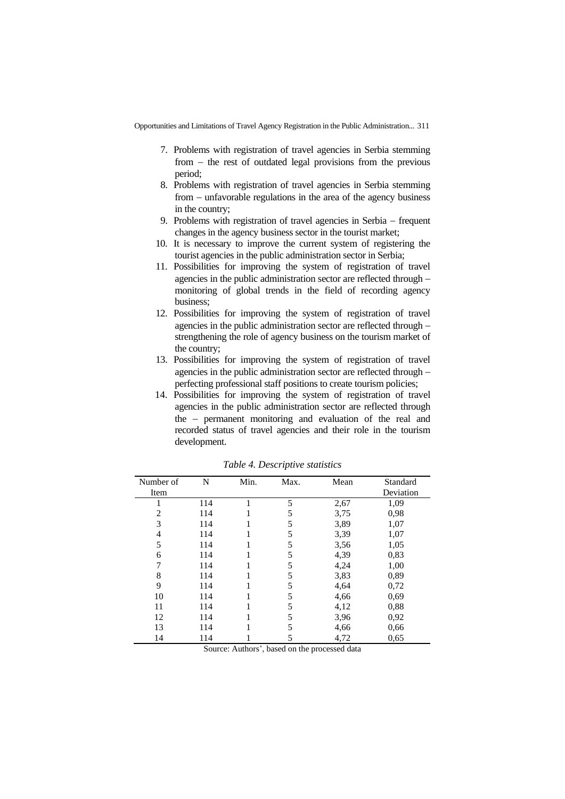- 7. Problems with registration of travel agencies in Serbia stemming from − the rest of outdated legal provisions from the previous period;
- 8. Problems with registration of travel agencies in Serbia stemming from – unfavorable regulations in the area of the agency business in the country;
- 9. Problems with registration of travel agencies in Serbia − frequent changes in the agency business sector in the tourist market;
- 10. It is necessary to improve the current system of registering the tourist agencies in the public administration sector in Serbia;
- 11. Possibilities for improving the system of registration of travel agencies in the public administration sector are reflected through − monitoring of global trends in the field of recording agency business;
- 12. Possibilities for improving the system of registration of travel agencies in the public administration sector are reflected through − strengthening the role of agency business on the tourism market of the country;
- 13. Possibilities for improving the system of registration of travel agencies in the public administration sector are reflected through − perfecting professional staff positions to create tourism policies;
- 14. Possibilities for improving the system of registration of travel agencies in the public administration sector are reflected through the − permanent monitoring and evaluation of the real and recorded status of travel agencies and their role in the tourism development.

| Number of | N   | Min. | Max. | Mean | Standard  |
|-----------|-----|------|------|------|-----------|
| Item      |     |      |      |      | Deviation |
|           | 114 |      | 5    | 2,67 | 1,09      |
| 2         | 114 |      | 5    | 3,75 | 0.98      |
| 3         | 114 |      | 5    | 3,89 | 1,07      |
| 4         | 114 |      | 5    | 3,39 | 1,07      |
| 5         | 114 |      | 5    | 3,56 | 1,05      |
| 6         | 114 |      | 5    | 4,39 | 0,83      |
|           | 114 |      | 5    | 4,24 | 1,00      |
| 8         | 114 |      | 5    | 3,83 | 0,89      |
| 9         | 114 |      | 5    | 4,64 | 0,72      |
| 10        | 114 |      | 5    | 4,66 | 0.69      |
| 11        | 114 |      | 5    | 4,12 | 0.88      |
| 12        | 114 |      | 5    | 3,96 | 0,92      |
| 13        | 114 |      | 5    | 4,66 | 0.66      |
| 14        | 114 |      | 5    | 4,72 | 0,65      |

*Table 4. Descriptive statistics*

Source: Authors', based on the processed data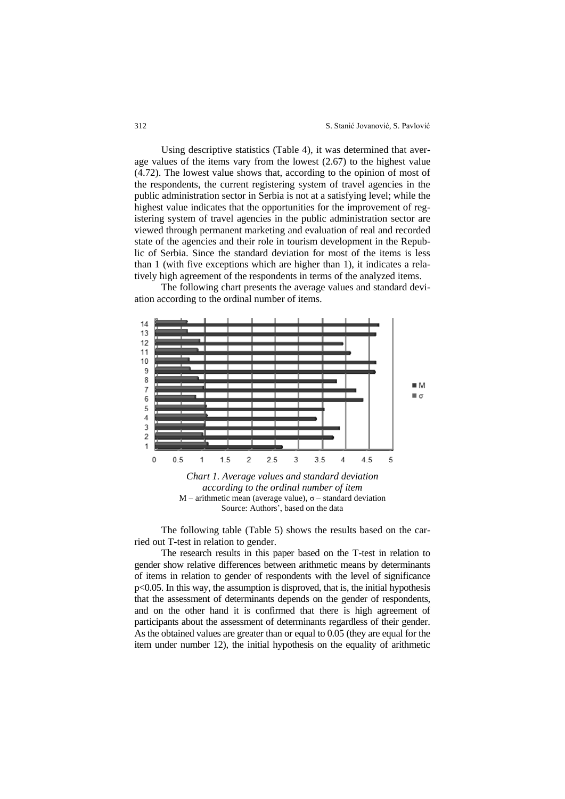Using descriptive statistics (Table 4), it was determined that average values of the items vary from the lowest (2.67) to the highest value (4.72). The lowest value shows that, according to the opinion of most of the respondents, the current registering system of travel agencies in the public administration sector in Serbia is not at a satisfying level; while the highest value indicates that the opportunities for the improvement of registering system of travel agencies in the public administration sector are viewed through permanent marketing and evaluation of real and recorded state of the agencies and their role in tourism development in the Republic of Serbia. Since the standard deviation for most of the items is less than 1 (with five exceptions which are higher than 1), it indicates a relatively high agreement of the respondents in terms of the analyzed items.

The following chart presents the average values and standard deviation according to the ordinal number of items.



*Chart 1. Average values and standard deviation according to the ordinal number of item* M – arithmetic mean (average value), σ – standard deviation Source: Authors', based on the data

The following table (Table 5) shows the results based on the carried out T-test in relation to gender.

The research results in this paper based on the T-test in relation to gender show relative differences between arithmetic means by determinants of items in relation to gender of respondents with the level of significance p<0.05. In this way, the assumption is disproved, that is, the initial hypothesis that the assessment of determinants depends on the gender of respondents, and on the other hand it is confirmed that there is high agreement of participants about the assessment of determinants regardless of their gender. As the obtained values are greater than or equal to 0.05 (they are equal for the item under number 12), the initial hypothesis on the equality of arithmetic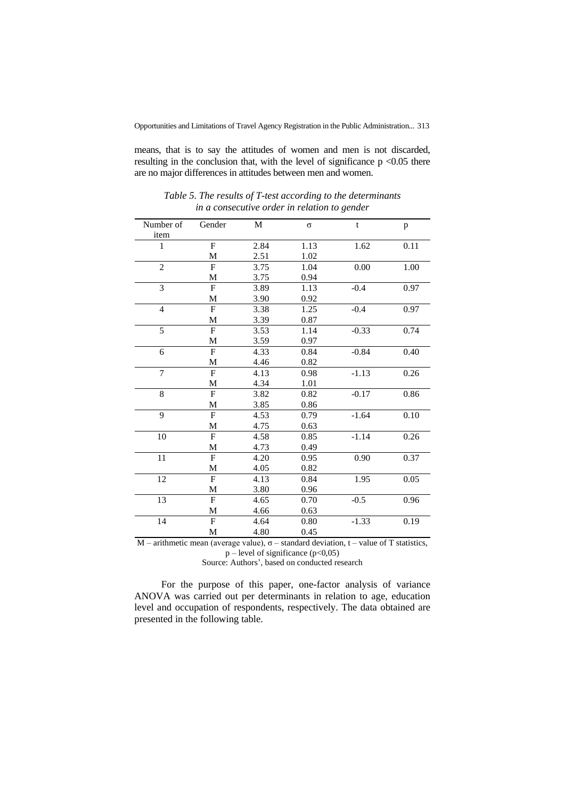means, that is to say the attitudes of women and men is not discarded, resulting in the conclusion that, with the level of significance  $p < 0.05$  there are no major differences in attitudes between men and women.

| Number of      | Gender         | M    | $\sigma$ | t       | p    |
|----------------|----------------|------|----------|---------|------|
| item           |                |      |          |         |      |
| 1              | $\overline{F}$ | 2.84 | 1.13     | 1.62    | 0.11 |
|                | M              | 2.51 | 1.02     |         |      |
| $\overline{2}$ | $\mathbf{F}$   | 3.75 | 1.04     | 0.00    | 1.00 |
|                | M              | 3.75 | 0.94     |         |      |
| $\overline{3}$ | $\overline{F}$ | 3.89 | 1.13     | $-0.4$  | 0.97 |
|                | M              | 3.90 | 0.92     |         |      |
| $\overline{4}$ | $\mathbf F$    | 3.38 | 1.25     | $-0.4$  | 0.97 |
|                | M              | 3.39 | 0.87     |         |      |
| 5              | $\overline{F}$ | 3.53 | 1.14     | $-0.33$ | 0.74 |
|                | M              | 3.59 | 0.97     |         |      |
| 6              | $\overline{F}$ | 4.33 | 0.84     | $-0.84$ | 0.40 |
|                | M              | 4.46 | 0.82     |         |      |
| $\overline{7}$ | $\overline{F}$ | 4.13 | 0.98     | $-1.13$ | 0.26 |
|                | M              | 4.34 | 1.01     |         |      |
| 8              | ${\bf F}$      | 3.82 | 0.82     | $-0.17$ | 0.86 |
|                | M              | 3.85 | 0.86     |         |      |
| 9              | $\overline{F}$ | 4.53 | 0.79     | $-1.64$ | 0.10 |
|                | M              | 4.75 | 0.63     |         |      |
| 10             | $\mathbf{F}$   | 4.58 | 0.85     | $-1.14$ | 0.26 |
|                | M              | 4.73 | 0.49     |         |      |
| 11             | $\mathbf F$    | 4.20 | 0.95     | 0.90    | 0.37 |
|                | M              | 4.05 | 0.82     |         |      |
| 12             | $\mathbf{F}$   | 4.13 | 0.84     | 1.95    | 0.05 |
|                | M              | 3.80 | 0.96     |         |      |
| 13             | $\overline{F}$ | 4.65 | 0.70     | $-0.5$  | 0.96 |
|                | M              | 4.66 | 0.63     |         |      |
| 14             | $\overline{F}$ | 4.64 | 0.80     | $-1.33$ | 0.19 |
|                | M              | 4.80 | 0.45     |         |      |

*Table 5. The results of T-test according to the determinants in a consecutive order in relation to gender*

M – arithmetic mean (average value),  $\sigma$  – standard deviation, t – value of T statistics,  $p$  – level of significance ( $p$ <0,05)

Source: Authors', based on conducted research

For the purpose of this paper, one-factor analysis of variance ANOVA was carried out per determinants in relation to age, education level and occupation of respondents, respectively. The data obtained are presented in the following table.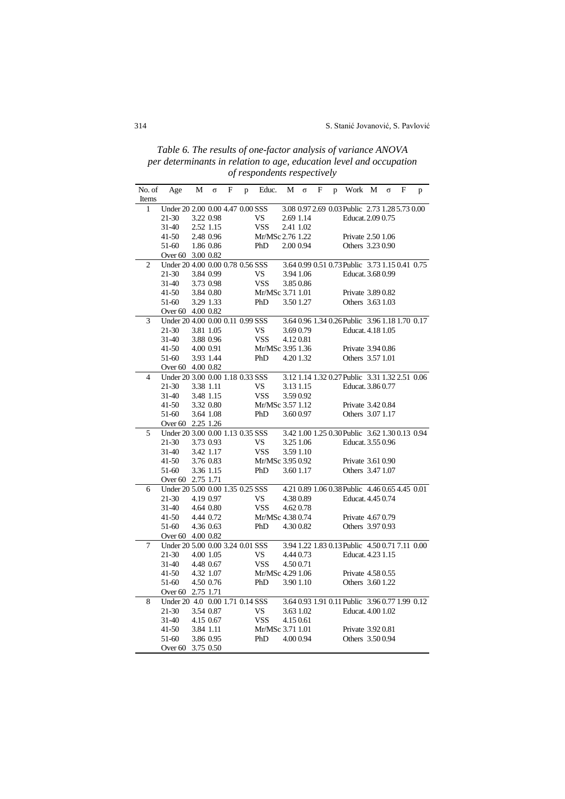*Table 6. The results of one-factor analysis of variance ANOVA per determinants in relation to age, education level and occupation of respondents respectively*

| No. of         | Age                              | М                      | $\sigma$  | F | p | Educ.                   | М         | $\sigma$  | F | p | Work                                           | M | $\sigma$ | F | p |
|----------------|----------------------------------|------------------------|-----------|---|---|-------------------------|-----------|-----------|---|---|------------------------------------------------|---|----------|---|---|
| Items          |                                  |                        |           |   |   |                         |           |           |   |   |                                                |   |          |   |   |
| 1              | Under 20 2.00 0.00 4.47 0.00 SSS |                        |           |   |   |                         |           |           |   |   | 3.08 0.97 2.69 0.03 Public 2.73 1.28 5.73 0.00 |   |          |   |   |
|                | 21-30                            |                        | 3.22 0.98 |   |   | VS.                     | 2.69 1.14 |           |   |   | Educat. 2.09 0.75                              |   |          |   |   |
|                | 31-40                            | 2.52 1.15              |           |   |   | <b>VSS</b>              | 2.41 1.02 |           |   |   |                                                |   |          |   |   |
|                | 41-50                            | 2.48 0.96              |           |   |   | Mr/MSc 2.76 1.22        |           |           |   |   | Private 2.50 1.06                              |   |          |   |   |
|                | 51-60                            | 1.86 0.86              |           |   |   | PhD                     | 2.00 0.94 |           |   |   | Others 3.23 0.90                               |   |          |   |   |
|                | Over 60 3.00 0.82                |                        |           |   |   |                         |           |           |   |   |                                                |   |          |   |   |
| $\overline{2}$ | Under 20 4.00 0.00 0.78 0.56 SSS |                        |           |   |   |                         |           |           |   |   | 3.64 0.99 0.51 0.73 Public 3.73 1.15 0.41 0.75 |   |          |   |   |
|                | 21-30                            | 3.84 0.99              |           |   |   | VS                      |           | 3.94 1.06 |   |   | Educat. 3.68 0.99                              |   |          |   |   |
|                | 31-40                            |                        | 3.73 0.98 |   |   | <b>VSS</b>              |           | 3.850.86  |   |   |                                                |   |          |   |   |
|                | 41-50                            |                        | 3.84 0.80 |   |   | Mr/MSc 3.71 1.01        |           |           |   |   | Private 3.89 0.82                              |   |          |   |   |
|                | 51-60                            | 3.29 1.33              |           |   |   | PhD                     |           | 3.50 1.27 |   |   | Others 3.63 1.03                               |   |          |   |   |
|                | Over 60 4.00 0.82                |                        |           |   |   |                         |           |           |   |   |                                                |   |          |   |   |
| 3              | Under 20 4.00 0.00 0.11 0.99 SSS |                        |           |   |   |                         |           |           |   |   | 3.64 0.96 1.34 0.26 Public 3.96 1.18 1.70 0.17 |   |          |   |   |
|                | 21-30                            | 3.81 1.05              |           |   |   | VS                      |           | 3.690.79  |   |   | Educat. 4.18 1.05                              |   |          |   |   |
|                | 31-40                            |                        | 3.88 0.96 |   |   | <b>VSS</b>              | 4.120.81  |           |   |   |                                                |   |          |   |   |
|                | 41-50                            | 4.00 0.91              |           |   |   | Mr/MSc 3.95 1.36        |           |           |   |   | Private 3.94 0.86                              |   |          |   |   |
|                | 51-60                            | 3.93 1.44              |           |   |   | PhD                     |           | 4.201.32  |   |   | Others 3.57 1.01                               |   |          |   |   |
|                | Over 60 4.00 0.82                |                        |           |   |   |                         |           |           |   |   |                                                |   |          |   |   |
| $\overline{4}$ | Under 20 3.00 0.00 1.18 0.33 SSS |                        |           |   |   |                         |           |           |   |   | 3.12 1.14 1.32 0.27 Public 3.31 1.32 2.51 0.06 |   |          |   |   |
|                | 21-30                            | 3.38 1.11              |           |   |   | <b>VS</b>               |           | 3.13 1.15 |   |   | Educat. 3.86 0.77                              |   |          |   |   |
|                | 31-40                            |                        | 3.48 1.15 |   |   | <b>VSS</b>              |           | 3.590.92  |   |   |                                                |   |          |   |   |
|                | 41-50                            |                        | 3.32 0.80 |   |   | Mr/MSc 3.57 1.12        |           |           |   |   | Private 3.420.84                               |   |          |   |   |
|                | 51-60                            |                        | 3.64 1.08 |   |   | PhD                     |           | 3.600.97  |   |   | Others 3.07 1.17                               |   |          |   |   |
|                | Over 60 2.25 1.26                |                        |           |   |   |                         |           |           |   |   |                                                |   |          |   |   |
| 5              | Under 20 3.00 0.00 1.13 0.35 SSS |                        |           |   |   |                         |           |           |   |   | 3.42 1.00 1.25 0.30 Public 3.62 1.30 0.13 0.94 |   |          |   |   |
|                | 21-30                            | 3.73 0.93              |           |   |   | VS                      |           | 3.25 1.06 |   |   | Educat. 3.55 0.96                              |   |          |   |   |
|                | 31-40                            |                        | 3.42 1.17 |   |   | <b>VSS</b>              |           | 3.59 1.10 |   |   |                                                |   |          |   |   |
|                | 41-50<br>51-60                   | 3.76 0.83<br>3.36 1.15 |           |   |   | Mr/MSc 3.95 0.92<br>PhD |           | 3.60 1.17 |   |   | Private 3.61 0.90<br>Others 3.47 1.07          |   |          |   |   |
|                | Over 60 2.75 1.71                |                        |           |   |   |                         |           |           |   |   |                                                |   |          |   |   |
| 6              | Under 20 5.00 0.00 1.35 0.25 SSS |                        |           |   |   |                         |           |           |   |   | 4.21 0.89 1.06 0.38 Public 4.46 0.65 4.45 0.01 |   |          |   |   |
|                | 21-30                            | 4.19 0.97              |           |   |   | VS                      |           | 4.380.89  |   |   | Educat. 4.45 0.74                              |   |          |   |   |
|                | 31-40                            |                        | 4.64 0.80 |   |   | <b>VSS</b>              |           | 4.620.78  |   |   |                                                |   |          |   |   |
|                | 41-50                            | 4.44 0.72              |           |   |   | Mr/MSc 4.38 0.74        |           |           |   |   | Private 4.67 0.79                              |   |          |   |   |
|                | 51-60                            | 4.36 0.63              |           |   |   | PhD                     |           | 4.300.82  |   |   | Others 3.97 0.93                               |   |          |   |   |
|                | Over 60 4.00 0.82                |                        |           |   |   |                         |           |           |   |   |                                                |   |          |   |   |
| 7              | Under 20 5.00 0.00 3.24 0.01 SSS |                        |           |   |   |                         |           |           |   |   | 3.94 1.22 1.83 0.13 Public 4.50 0.71 7.11 0.00 |   |          |   |   |
|                | 21-30                            | 4.00 1.05              |           |   |   | VS                      | 4.44 0.73 |           |   |   | Educat. 4.23 1.15                              |   |          |   |   |
|                | 31-40                            | 4.48 0.67              |           |   |   | <b>VSS</b>              | 4.500.71  |           |   |   |                                                |   |          |   |   |
|                | 41-50                            | 4.32 1.07              |           |   |   | Mr/MSc 4.29 1.06        |           |           |   |   | Private 4.58 0.55                              |   |          |   |   |
|                | 51-60                            | 4.50 0.76              |           |   |   | PhD                     |           | 3.90 1.10 |   |   | Others 3.60 1.22                               |   |          |   |   |
|                | Over 60 2.75 1.71                |                        |           |   |   |                         |           |           |   |   |                                                |   |          |   |   |
| 8              | Under 20 4.0 0.00 1.71 0.14 SSS  |                        |           |   |   |                         |           |           |   |   | 3.64 0.93 1.91 0.11 Public 3.96 0.77 1.99 0.12 |   |          |   |   |
|                | 21-30                            |                        | 3.54 0.87 |   |   | VS.                     |           | 3.63 1.02 |   |   | Educat. 4.00 1.02                              |   |          |   |   |
|                | 31-40                            | 4.15 0.67              |           |   |   | <b>VSS</b>              | 4.15 0.61 |           |   |   |                                                |   |          |   |   |
|                | 41-50                            | 3.84 1.11              |           |   |   | Mr/MSc 3.71 1.01        |           |           |   |   | Private 3.92 0.81                              |   |          |   |   |
|                | 51-60                            | 3.86 0.95              |           |   |   | PhD                     |           | 4.000.94  |   |   | Others 3.500.94                                |   |          |   |   |
|                | Over 60 3.75 0.50                |                        |           |   |   |                         |           |           |   |   |                                                |   |          |   |   |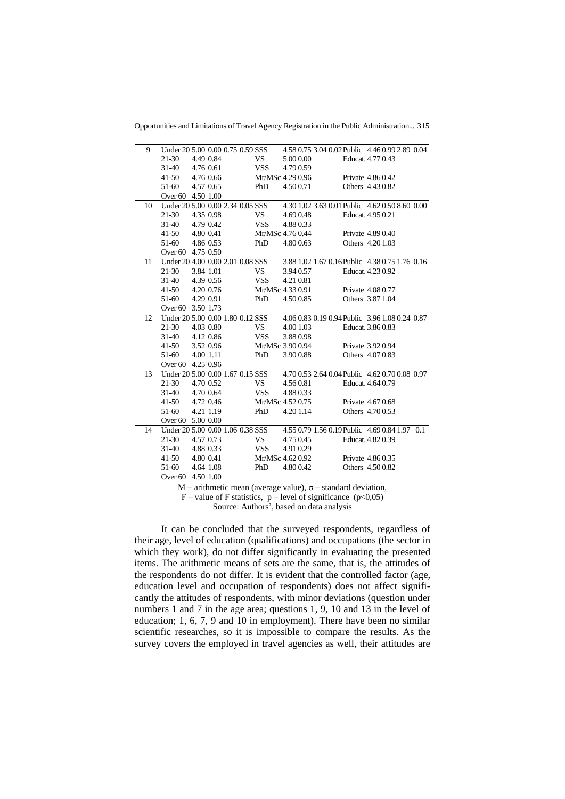Opportunities and Limitations of Travel Agency Registration in the Public Administration... 315

| 9  |                   |           | Under 20 5.00 0.00 0.75 0.59 SSS |            |                  | 4.58 0.75 3.04 0.02 Public 4.46 0.99 2.89 0.04 |
|----|-------------------|-----------|----------------------------------|------------|------------------|------------------------------------------------|
|    | $21 - 30$         | 4.49 0.84 |                                  | VS —       | 5.00 0.00        | Educat. 4.77 0.43                              |
|    | 31-40             | 4.76 0.61 |                                  | <b>VSS</b> | 4.79 0.59        |                                                |
|    | 41-50             | 4.76 0.66 |                                  |            | Mr/MSc 4.29 0.96 | Private 4.86 0.42                              |
|    | 51-60             | 4.57 0.65 |                                  | PhD        | 4.500.71         | Others 4.43 0.82                               |
|    | Over 60 4.50 1.00 |           |                                  |            |                  |                                                |
| 10 |                   |           | Under 20 5.00 0.00 2.34 0.05 SSS |            |                  | 4.30 1.02 3.63 0.01 Public 4.62 0.50 8.60 0.00 |
|    | $21-30$           | 4.35 0.98 |                                  | VS –       | 4.690.48         | Educat. 4.95 0.21                              |
|    | 31-40             | 4.79 0.42 |                                  | <b>VSS</b> | 4.880.33         |                                                |
|    | $41 - 50$         | 4.80 0.41 |                                  |            | Mr/MSc 4.76 0.44 | Private 4.89 0.40                              |
|    | 51-60             | 4.86 0.53 |                                  | PhD        | 4.800.63         | Others 4.20 1.03                               |
|    | Over 60 4.75 0.50 |           |                                  |            |                  |                                                |
| 11 |                   |           | Under 20 4.00 0.00 2.01 0.08 SSS |            |                  | 3.88 1.02 1.67 0.16 Public 4.38 0.75 1.76 0.16 |
|    | $21-30$           | 3.84 1.01 |                                  | VS         | 3.94 0.57        | Educat. 4.23 0.92                              |
|    | 31-40             | 4.39 0.56 |                                  | <b>VSS</b> | 4.21 0.81        |                                                |
|    | 41-50             | 4.20 0.76 |                                  |            | Mr/MSc 4.33 0.91 | Private 4.08 0.77                              |
|    | 51-60             | 4.29 0.91 |                                  | PhD        | 4.500.85         | Others 3.87 1.04                               |
|    | Over 60 3.50 1.73 |           |                                  |            |                  |                                                |
| 12 |                   |           | Under 20 5.00 0.00 1.80 0.12 SSS |            |                  | 4.06 0.83 0.19 0.94 Public 3.96 1.08 0.24 0.87 |
|    | $21-30$           | 4.03 0.80 |                                  | VS.        | 4.00 1.03        | Educat, 3.86 0.83                              |
|    | $31-40$           | 4.12 0.86 |                                  | <b>VSS</b> | 3.880.98         |                                                |
|    | $41 - 50$         | 3.52 0.96 |                                  |            | Mr/MSc 3.90 0.94 | Private 3.92 0.94                              |
|    | 51-60             | 4.00 1.11 |                                  | PhD        | 3.900.88         | Others 4.07 0.83                               |
|    | Over 60 4.25 0.96 |           |                                  |            |                  |                                                |
| 13 |                   |           | Under 20 5.00 0.00 1.67 0.15 SSS |            |                  | 4.70 0.53 2.64 0.04 Public 4.62 0.70 0.08 0.97 |
|    | 21-30             | 4.70 0.52 |                                  | VS –       | 4.560.81         | Educat. 4.64 0.79                              |
|    | 31-40             | 4.70 0.64 |                                  | <b>VSS</b> | 4.880.33         |                                                |
|    | $41 - 50$         | 4.72 0.46 |                                  |            | Mr/MSc 4.52 0.75 | Private 4.67 0.68                              |
|    | 51-60             | 4.21 1.19 |                                  | PhD        | 4.201.14         | Others 4.700.53                                |
|    | Over 60 5.00 0.00 |           |                                  |            |                  |                                                |
| 14 |                   |           | Under 20 5.00 0.00 1.06 0.38 SSS |            |                  | 4.55 0.79 1.56 0.19 Public 4.69 0.84 1.97 0.1  |
|    | $21-30$           | 4.57 0.73 |                                  | VS –       | 4.75 0.45        | Educat, 4.82 0.39                              |
|    | 31-40             | 4.88 0.33 |                                  | <b>VSS</b> | 4.91 0.29        |                                                |
|    | 41-50             | 4.80 0.41 |                                  |            | Mr/MSc 4.62 0.92 | Private 4.86 0.35                              |
|    | 51-60             | 4.64 1.08 |                                  | PhD        | 4.800.42         | Others 4.50 0.82                               |
|    | Over 60 4.50 1.00 |           |                                  |            |                  |                                                |

M – arithmetic mean (average value), σ – standard deviation,

 $F$  – value of F statistics, p – level of significance (p<0,05)

Source: Authors', based on data analysis

It can be concluded that the surveyed respondents, regardless of their age, level of education (qualifications) and occupations (the sector in which they work), do not differ significantly in evaluating the presented items. The arithmetic means of sets are the same, that is, the attitudes of the respondents do not differ. It is evident that the controlled factor (age, education level and occupation of respondents) does not affect significantly the attitudes of respondents, with minor deviations (question under numbers 1 and 7 in the age area; questions 1, 9, 10 and 13 in the level of education; 1, 6, 7, 9 and 10 in employment). There have been no similar scientific researches, so it is impossible to compare the results. As the survey covers the employed in travel agencies as well, their attitudes are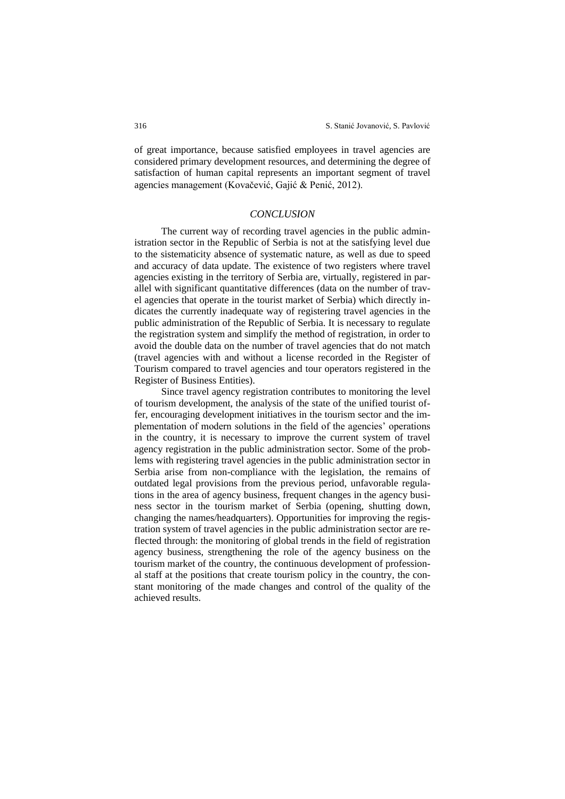of great importance, because satisfied employees in travel agencies are considered primary development resources, and determining the degree of satisfaction of human capital represents an important segment of travel agencies management (Kovačević, Gajić & Penić, 2012).

### *CONCLUSION*

The current way of recording travel agencies in the public administration sector in the Republic of Serbia is not at the satisfying level due to the sistematicity absence of systematic nature, as well as due to speed and accuracy of data update. The existence of two registers where travel agencies existing in the territory of Serbia are, virtually, registered in parallel with significant quantitative differences (data on the number of travel agencies that operate in the tourist market of Serbia) which directly indicates the currently inadequate way of registering travel agencies in the public administration of the Republic of Serbia. It is necessary to regulate the registration system and simplify the method of registration, in order to avoid the double data on the number of travel agencies that do not match (travel agencies with and without a license recorded in the Register of Tourism compared to travel agencies and tour operators registered in the Register of Business Entities).

Since travel agency registration contributes to monitoring the level of tourism development, the analysis of the state of the unified tourist offer, encouraging development initiatives in the tourism sector and the implementation of modern solutions in the field of the agencies' operations in the country, it is necessary to improve the current system of travel agency registration in the public administration sector. Some of the problems with registering travel agencies in the public administration sector in Serbia arise from non-compliance with the legislation, the remains of outdated legal provisions from the previous period, unfavorable regulations in the area of agency business, frequent changes in the agency business sector in the tourism market of Serbia (opening, shutting down, changing the names/headquarters). Opportunities for improving the registration system of travel agencies in the public administration sector are reflected through: the monitoring of global trends in the field of registration agency business, strengthening the role of the agency business on the tourism market of the country, the continuous development of professional staff at the positions that create tourism policy in the country, the constant monitoring of the made changes and control of the quality of the achieved results.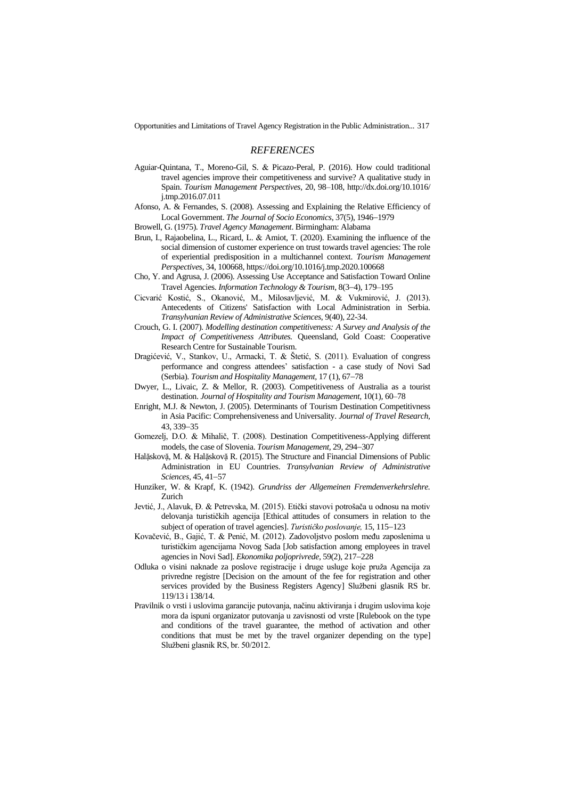### *REFERENCES*

- Aguiar-Quintana, T., Moreno-Gil, S. & Picazo-Peral, P. (2016). How could traditional travel agencies improve their competitiveness and survive? A qualitative study in Spain. *Tourism Management Perspectives*, 20, 98–108, http://dx.doi.org/10.1016/ j.tmp.2016.07.011
- Afonso, A. & Fernandes, S. (2008). Assessing and Explaining the Relative Efficiency of Local Government. *The Journal of Socio Economics*, 37(5), 1946−1979
- Browell, G. (1975). *Travel Agency Management*. Birmingham: Alabama
- Brun, I., Rajaobelina, L., Ricard, L. & Amiot, T. (2020). Examining the influence of the social dimension of customer experience on trust towards travel agencies: The role of experiential predisposition in a multichannel context. *Tourism Management Perspectives*, 34, 100668[, https://doi.org/10.1016/j.tmp.2020.100668](https://doi.org/10.1016/j.tmp.2020.100668)
- Cho, Y. and Agrusa, J. (2006). Assessing Use Acceptance and Satisfaction Toward Online Travel Agencies. *Information Technology & Tourism,* 8(3−4), 179–195
- Cicvarić Kostić, S., Okanović, M., Milosavljević, M. & Vukmirović, J. (2013). Antecedents of Citizens' Satisfaction with Local Administration in Serbia. *Transylvanian Review of Administrative Sciences*, 9(40), 22-34.
- Crouch, G. I. (2007). *Modelling destination competitiveness: A Survey and Analysis of the Impact of Competitiveness Attributes.* Queensland, Gold Coast: Cooperative Research Centre for Sustainable Tourism.
- Dragićević, V., Stankov, U., Armacki, T. & Štetić, S. (2011). Evaluation of congress performance and congress attendees' satisfaction - a case study of Novi Sad (Serbia). *Tourism and Hospitality Management,* 17 (1), 67−78
- Dwyer, L., Livaic, Z. & Mellor, R. (2003). Competitiveness of Australia as a tourist destination. *Journal of Hospitality and Tourism Management,* 10(1)*,* 60–78
- Enright, M.J. & Newton, J. (2005). Determinants of Tourism Destination Competitivness in Asia Pacific: Comprehensiveness and Universality. *Journal of Travel Research,* 43, 339−35
- Gomezelj, D.O. & Mihalič, T. (2008). Destination Competitiveness-Applying different models, the case of Slovenia. *Tourism Management,* 29, 294−307
- Halặskovặ, M. & Halặskovặ R. (2015). The Structure and Financial Dimensions of Public Administration in EU Countries. *Transylvanian Review of Administrative Sciences,* 45, 41−57
- Hunziker, W. & Krapf, K. (1942). *Grundriss der Allgemeinen Fremdenverkehrslehre.*  Zurich
- Jevtić, J., Alavuk, Đ. & Petrevska, M. (2015). Etički stavovi potrošača u odnosu na motiv delovanja turističkih agencija [Ethical attitudes of consumers in relation to the subject of operation of travel agencies]. *Turističko poslovanje,* 15, 115−123
- Kovačević, B., Gajić, T. & Penić, M. (2012). Zadovoljstvo poslom među zaposlenima u turističkim agencijama Novog Sada [Job satisfaction among employees in travel agencies in Novi Sad]. *Ekonomika poljoprivrede,* 59(2), 217−228
- Odluka o visini naknade za poslove registracije i druge usluge koje pruža Agencija za privredne registre [Decision on the amount of the fee for registration and other services provided by the Business Registers Agency] Službeni glasnik RS br. 119/13 i 138/14.
- Pravilnik o vrsti i uslovima garancije putovanja, načinu aktiviranja i drugim uslovima koje mora da ispuni organizator putovanja u zavisnosti od vrste [Rulebook on the type and conditions of the travel guarantee, the method of activation and other conditions that must be met by the travel organizer depending on the type] Službeni glasnik RS, br. 50/2012.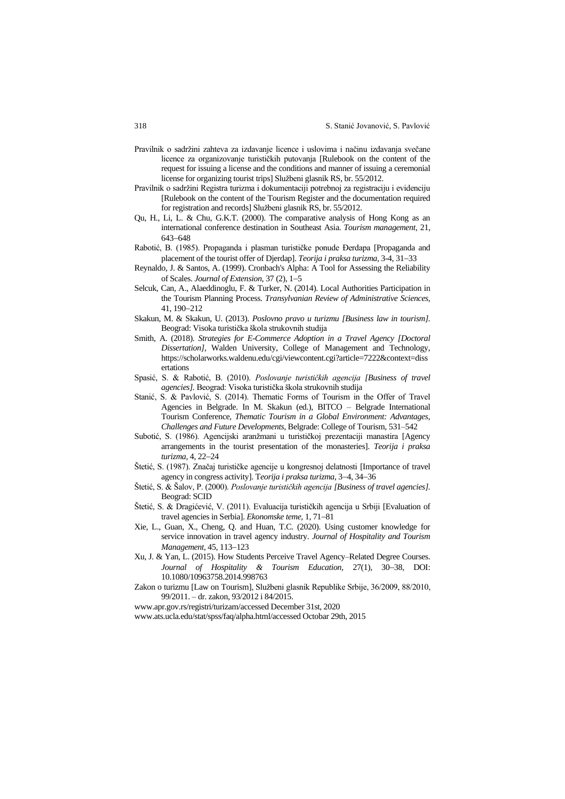- Pravilnik o sadržini zahteva za izdavanje licence i uslovima i načinu izdavanja svečane licence za organizovanje turističkih putovanja [Rulebook on the content of the request for issuing a license and the conditions and manner of issuing a ceremonial license for organizing tourist trips] Službeni glasnik RS, br. 55/2012.
- Pravilnik o sadržini Registra turizma i dokumentaciji potrebnoj za registraciju i evidenciju [Rulebook on the content of the Tourism Register and the documentation required for registration and records] Službeni glasnik RS, br. 55/2012.
- Qu, H., Li, L. & Chu, G.K.T. (2000). The comparative analysis of Hong Kong as an international conference destination in Southeast Asia. *Tourism management,* 21, 643−648
- Rabotić, B. (1985). Propaganda i plasman turističke ponude Đerdapa [Propaganda and placement of the tourist offer of Djerdap]. *Teorija i praksa turizma,* 3-4, 31−33
- Reynaldo, J. & Santos, A. (1999). Cronbach's Alpha: A Tool for Assessing the Reliability of Scales. *Journal of Extension,* 37 (2), 1−5
- Selcuk, Can, A., Alaeddinoglu, F. & Turker, N. (2014). Local Authorities Participation in the Tourism Planning Process. *Transylvanian Review of Administrative Sciences,*  41, 190−212
- Skakun, M. & Skakun, U. (2013). *Poslovno pravo u turizmu [Business law in tourism].* Beograd: Visoka turistička škola strukovnih studija
- Smith, A. (2018). *Strategies for E-Commerce Adoption in a Travel Agency [Doctoral Dissertation]*, Walden University, College of Management and Technology, https://scholarworks.waldenu.edu/cgi/viewcontent.cgi?article=7222&context=diss ertations
- Spasić, S. & Rabotić, B. (2010). *Poslovanje turističkih agencija [Business of travel agencies].* Beograd: Visoka turistička škola strukovnih studija
- Stanić, S. & Pavlović, S. (2014). Thematic Forms of Tourism in the Offer of Travel Agencies in Belgrade. In M. Skakun (ed.), BITCO – Belgrade International Tourism Conference, *Thematic Tourism in a Global Environment: Advantages, Challenges and Future Developments,* Belgrade: College of Tourism, 531–542
- Subotić, S. (1986). Agencijski aranžmani u turističkoj prezentaciji manastira [Agency arrangements in the tourist presentation of the monasteries]. *Teorija i praksa turizma,* 4, 22−24
- Štetić, S. (1987). Značaj turističke agencije u kongresnoj delatnosti [Importance of travel agency in congress activity]. T*eorija i praksa turizma,* 3−4, 34−36
- Štetić, S. & Šalov, P. (2000). *Poslovanje turističkih agencija [Business of travel agencies].* Beograd: SCID
- Štetić, S. & Dragićević, V. (2011). Evaluacija turističkih agencija u Srbiji [Evaluation of travel agencies in Serbia]. *Ekonomske teme,* 1, 71−81
- Xie, L., Guan, X., Cheng, Q. and Huan, T.C. (2020). Using customer knowledge for service innovation in travel agency industry. *Journal of Hospitality and Tourism Management,* 45, 113−123
- Xu, J. & Yan, L. (2015). How Students Perceive Travel Agency–Related Degree Courses. *Journal of Hospitality & Tourism Education,* 27(1), 30−38, DOI: 10.1080/10963758.2014.998763
- Zakon o turizmu [Law on Tourism], Službeni glasnik Republike Srbije, 36/2009, 88/2010, 99/2011. – dr. zakon, 93/2012 i 84/2015.

[www.apr.gov.rs/registri/turizam/accessed](http://www.apr.gov.rs/registri/turizam/accessed) December 31st, 2020

www.ats.ucla.edu/stat/spss/faq/alpha.html/accessed Octobar 29th, 2015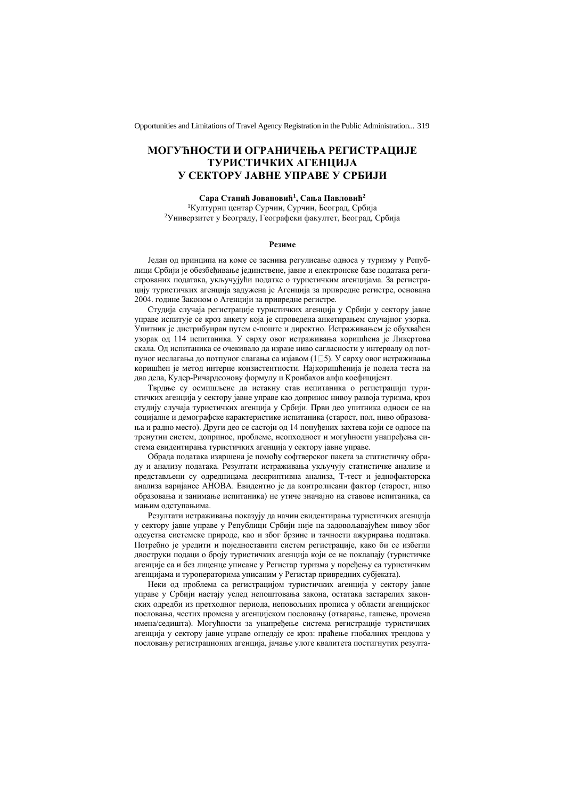# **МОГУЋНОСТИ И ОГРАНИЧЕЊА РЕГИСТРАЦИЈЕ ТУРИСТИЧКИХ АГЕНЦИЈА У СЕКТОРУ ЈАВНЕ УПРАВЕ У СРБИЈИ**

**Сара Станић Јовановић<sup>1</sup> , Сања Павловић<sup>2</sup>** <sup>1</sup>Културни центар Сурчин, Сурчин, Београд, Србија <sup>2</sup>Универзитет у Београду, Географски факултет, Београд, Србија

#### **Резиме**

Један од принципа на коме се заснива регулисање односа у туризму у Републици Србији је обезбеђивање јединствене, јавне и електронске базе података регистрованих података, укључујући податке о туристичким агенцијама. За регистрацију туристичких агенција задужена је Агенција за привредне регистре, основана 2004. године Законом о Агенцији за привредне регистре.

Студија случаја регистрације туристичких агенција у Србији у сектору јавне управе испитује се кроз анкету која је спроведена анкетирањем случајног узорка. Упитник је дистрибуиран путем е-поште и директно. Истраживањем је обухваћен узорак од 114 испитаника. У сврху овог истраживања коришћена је Ликертова скала. Од испитаника се очекивало да изразе ниво сагласности у интервалу од потпуног неслагања до потпуног слагања са изјавом (1 5). У сврху овог истраживања коришћен је метод интерне конзистентности. Најкоришћенија је подела теста на два дела, Кудер-Ричардсонову формулу и Kронбахов алфа коефицијент.

Tврдње су осмишљене да истакну став испитаника о регистрацији туристичких агенција у сектору јавне управе као допринос нивоу развоја туризма, кроз студију случаја туристичких агенција у Србији. Први део упитника односи се на социјалне и демографске карактеристике испитаника (старост, пол, ниво образовања и радно место). Други део се састоји од 14 понуђених захтева који се односе на тренутни систем, допринос, проблеме, неопходност и могућности унапређења система евидентирања туристичких агенција у сектору јавне управе.

Обрада података извршена је помоћу софтверског пакета за статистичку обраду и анализу података. Резултати истраживања укључују статистичке анализе и представљени су одредницама дескриптивна анализа, Т-тест и једнофакторска анализа варијансе АНОВА. Евидентно је да контролисани фактор (старост, ниво образовања и занимање испитаника) не утиче значајно на ставове испитаника, са мањим одступањима.

Резултати истраживања показују да начин евидентирања туристичких агенција у сектору јавне управе у Републици Србији није на задовољавајућем нивоу због одсуства системске природе, као и због брзине и тачности ажурирања података. Потребно је уредити и поједноставити систем регистрације, како би се избегли двоструки подаци о броју туристичких агенција који се не поклапају (туристичке агенције са и без лиценце уписане у Регистар туризма у поређењу са туристичким агенцијама и туроператорима уписаним у Регистар привредних субјеката).

Неки од проблема са регистрацијом туристичких агенција у сектору јавне управе у Србији настају услед непоштовања закона, остатака застарелих законских одредби из претходног периода, неповољних прописа у области агенцијског пословања, честих промена у агенцијском пословању (отварање, гашење, промена имена/седишта). Могућности за унапређење система регистрације туристичких агенција у сектору јавне управе огледају се кроз: праћење глобалних трендова у пословању регистрационих агенција, јачање улоге квалитета постигнутих резулта-